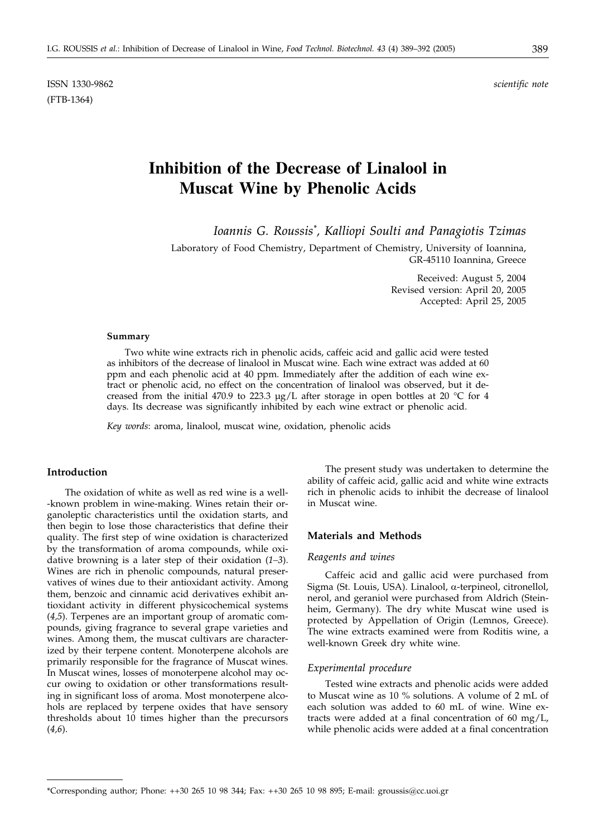ISSN 1330-9862 *scientific note* (FTB-1364)

# **Inhibition of the Decrease of Linalool in Muscat Wine by Phenolic Acids**

*Ioannis G. Roussis\* , Kalliopi Soulti and Panagiotis Tzimas*

Laboratory of Food Chemistry, Department of Chemistry, University of Ioannina, GR-45110 Ioannina, Greece

> Received: August 5, 2004 Revised version: April 20, 2005 Accepted: April 25, 2005

#### **Summary**

Two white wine extracts rich in phenolic acids, caffeic acid and gallic acid were tested as inhibitors of the decrease of linalool in Muscat wine. Each wine extract was added at 60 ppm and each phenolic acid at 40 ppm. Immediately after the addition of each wine extract or phenolic acid, no effect on the concentration of linalool was observed, but it decreased from the initial 470.9 to 223.3  $\mu$ g/L after storage in open bottles at 20 °C for 4 days. Its decrease was significantly inhibited by each wine extract or phenolic acid.

*Key words*: aroma, linalool, muscat wine, oxidation, phenolic acids

# **Introduction**

The oxidation of white as well as red wine is a well- -known problem in wine-making. Wines retain their organoleptic characteristics until the oxidation starts, and then begin to lose those characteristics that define their quality. The first step of wine oxidation is characterized by the transformation of aroma compounds, while oxidative browning is a later step of their oxidation (*1–3*). Wines are rich in phenolic compounds, natural preservatives of wines due to their antioxidant activity. Among them, benzoic and cinnamic acid derivatives exhibit antioxidant activity in different physicochemical systems (*4,5*). Terpenes are an important group of aromatic compounds, giving fragrance to several grape varieties and wines. Among them, the muscat cultivars are characterized by their terpene content. Monoterpene alcohols are primarily responsible for the fragrance of Muscat wines. In Muscat wines, losses of monoterpene alcohol may occur owing to oxidation or other transformations resulting in significant loss of aroma. Most monoterpene alcohols are replaced by terpene oxides that have sensory thresholds about 10 times higher than the precursors (*4,6*).

The present study was undertaken to determine the ability of caffeic acid, gallic acid and white wine extracts rich in phenolic acids to inhibit the decrease of linalool in Muscat wine.

# **Materials and Methods**

### *Reagents and wines*

Caffeic acid and gallic acid were purchased from Sigma (St. Louis, USA). Linalool,  $\alpha$ -terpineol, citronellol, nerol, and geraniol were purchased from Aldrich (Steinheim, Germany). The dry white Muscat wine used is protected by Appellation of Origin (Lemnos, Greece). The wine extracts examined were from Roditis wine, a well-known Greek dry white wine.

# *Experimental procedure*

Tested wine extracts and phenolic acids were added to Muscat wine as 10 % solutions. A volume of 2 mL of each solution was added to 60 mL of wine. Wine extracts were added at a final concentration of 60 mg/L, while phenolic acids were added at a final concentration

<sup>\*</sup>Corresponding author; Phone: ++30 265 10 98 344; Fax: ++30 265 10 98 895; E-mail: groussis@cc.uoi.gr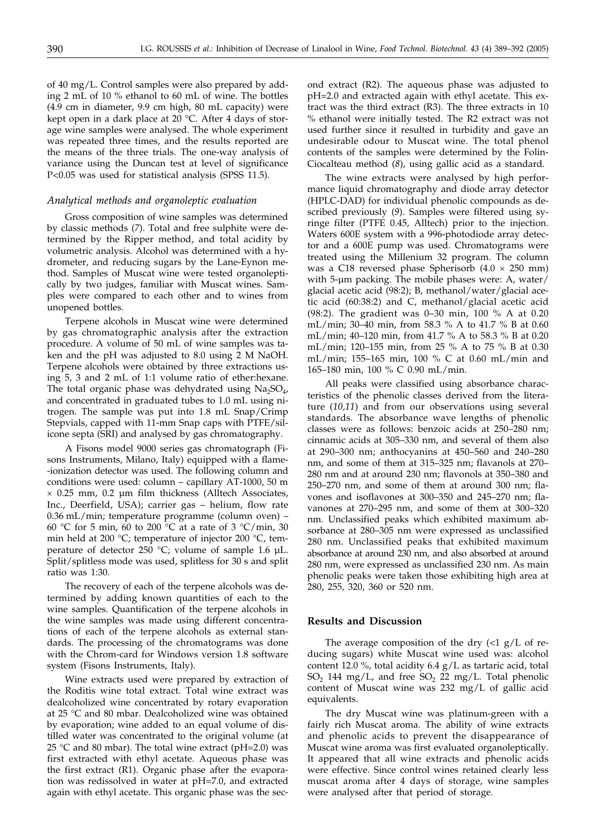of 40 mg/L. Control samples were also prepared by adding 2 mL of 10 % ethanol to 60 mL of wine. The bottles (4.9 cm in diameter, 9.9 cm high, 80 mL capacity) were kept open in a dark place at 20 °C. After 4 days of storage wine samples were analysed. The whole experiment was repeated three times, and the results reported are the means of the three trials. The one-way analysis of variance using the Duncan test at level of significance P<0.05 was used for statistical analysis (SPSS 11.5).

# *Analytical methods and organoleptic evaluation*

Gross composition of wine samples was determined by classic methods (*7*). Total and free sulphite were determined by the Ripper method, and total acidity by volumetric analysis. Alcohol was determined with a hydrometer, and reducing sugars by the Lane-Eynon method. Samples of Muscat wine were tested organoleptically by two judges, familiar with Muscat wines. Samples were compared to each other and to wines from unopened bottles.

Terpene alcohols in Muscat wine were determined by gas chromatographic analysis after the extraction procedure. A volume of 50 mL of wine samples was taken and the pH was adjusted to 8.0 using 2 M NaOH. Terpene alcohols were obtained by three extractions using 5, 3 and 2 mL of 1:1 volume ratio of ether:hexane. The total organic phase was dehydrated using  $Na<sub>2</sub>SO<sub>4</sub>$ , and concentrated in graduated tubes to 1.0 mL using nitrogen. The sample was put into 1.8 mL Snap/Crimp Stepvials, capped with 11-mm Snap caps with PTFE/silicone septa (SRI) and analysed by gas chromatography.

A Fisons model 9000 series gas chromatograph (Fisons Instruments, Milano, Italy) equipped with a flame- -ionization detector was used. The following column and conditions were used: column – capillary AT-1000, 50 m  $\times$  0.25 mm, 0.2 µm film thickness (Alltech Associates, Inc., Deerfield, USA); carrier gas – helium, flow rate 0.36 mL/min; temperature programme (column oven) – 60 °C for 5 min, 60 to 200 °C at a rate of 3 °C/min, 30 min held at 200 °C; temperature of injector 200 °C, temperature of detector 250 °C; volume of sample 1.6  $\mu$ L. Split/splitless mode was used, splitless for 30 s and split ratio was 1:30.

The recovery of each of the terpene alcohols was determined by adding known quantities of each to the wine samples. Quantification of the terpene alcohols in the wine samples was made using different concentrations of each of the terpene alcohols as external standards. The processing of the chromatograms was done with the Chrom-card for Windows version 1.8 software system (Fisons Instruments, Italy).

Wine extracts used were prepared by extraction of the Roditis wine total extract. Total wine extract was dealcoholized wine concentrated by rotary evaporation at 25 °C and 80 mbar. Dealcoholized wine was obtained by evaporation; wine added to an equal volume of distilled water was concentrated to the original volume (at 25 °C and 80 mbar). The total wine extract (pH=2.0) was first extracted with ethyl acetate. Aqueous phase was the first extract (R1). Organic phase after the evaporation was redissolved in water at pH=7.0, and extracted again with ethyl acetate. This organic phase was the second extract (R2). The aqueous phase was adjusted to pH=2.0 and extracted again with ethyl acetate. This extract was the third extract (R3). The three extracts in 10 % ethanol were initially tested. The R2 extract was not used further since it resulted in turbidity and gave an undesirable odour to Muscat wine. The total phenol contents of the samples were determined by the Folin-Ciocalteau method (*8*), using gallic acid as a standard.

The wine extracts were analysed by high performance liquid chromatography and diode array detector (HPLC-DAD) for individual phenolic compounds as described previously (*9*). Samples were filtered using syringe filter (PTFE 0.45, Alltech) prior to the injection. Waters 600E system with a 996-photodiode array detector and a 600E pump was used. Chromatograms were treated using the Millenium 32 program. The column was a C18 reversed phase Spherisorb  $(4.0 \times 250 \text{ mm})$ with 5-µm packing. The mobile phases were: A, water/ glacial acetic acid (98:2); B, methanol/water/glacial acetic acid (60:38:2) and C, methanol/glacial acetic acid (98:2). The gradient was 0–30 min, 100 % A at 0.20 mL/min; 30–40 min, from 58.3 % A to 41.7 % B at 0.60 mL/min; 40–120 min, from 41.7 % A to 58.3 % B at 0.20 mL/min; 120–155 min, from 25 % A to 75 % B at 0.30 mL/min; 155–165 min, 100 % C at 0.60 mL/min and 165–180 min, 100 % C 0.90 mL/min.

All peaks were classified using absorbance characteristics of the phenolic classes derived from the literature (*10,11*) and from our observations using several standards. The absorbance wave lengths of phenolic classes were as follows: benzoic acids at 250–280 nm; cinnamic acids at 305–330 nm, and several of them also at 290–300 nm; anthocyanins at 450–560 and 240–280 nm, and some of them at 315–325 nm; flavanols at 270– 280 nm and at around 230 nm; flavonols at 350–380 and 250–270 nm, and some of them at around 300 nm; flavones and isoflavones at 300–350 and 245–270 nm; flavanones at 270–295 nm, and some of them at 300–320 nm. Unclassified peaks which exhibited maximum absorbance at 280–305 nm were expressed as unclassified 280 nm. Unclassified peaks that exhibited maximum absorbance at around 230 nm, and also absorbed at around 280 nm, were expressed as unclassified 230 nm. As main phenolic peaks were taken those exhibiting high area at 280, 255, 320, 360 or 520 nm.

#### **Results and Discussion**

The average composition of the dry  $\langle$ <1 g/L of reducing sugars) white Muscat wine used was: alcohol content 12.0 %, total acidity 6.4 g/L as tartaric acid, total  $SO_2$  144 mg/L, and free  $SO_2$  22 mg/L. Total phenolic content of Muscat wine was 232 mg/L of gallic acid equivalents.

The dry Muscat wine was platinum-green with a fairly rich Muscat aroma. The ability of wine extracts and phenolic acids to prevent the disappearance of Muscat wine aroma was first evaluated organoleptically. It appeared that all wine extracts and phenolic acids were effective. Since control wines retained clearly less muscat aroma after 4 days of storage, wine samples were analysed after that period of storage.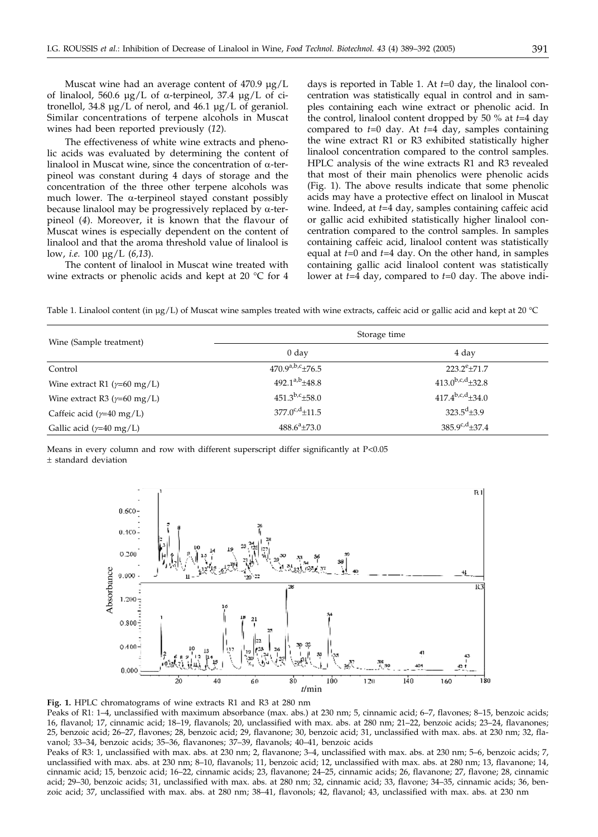Muscat wine had an average content of 470.9  $\mu$ g/L of linalool, 560.6  $\mu$ g/L of  $\alpha$ -terpineol, 37.4  $\mu$ g/L of citronellol, 34.8 µg/L of nerol, and 46.1 µg/L of geraniol. Similar concentrations of terpene alcohols in Muscat wines had been reported previously (*12*).

The effectiveness of white wine extracts and phenolic acids was evaluated by determining the content of linalool in Muscat wine, since the concentration of  $\alpha$ -terpineol was constant during 4 days of storage and the concentration of the three other terpene alcohols was much lower. The  $\alpha$ -terpineol stayed constant possibly because linalool may be progressively replaced by  $\alpha$ -terpineol (*4*). Moreover, it is known that the flavour of Muscat wines is especially dependent on the content of linalool and that the aroma threshold value of linalool is low, *i.e.* 100 µg/L (*6,13*).

The content of linalool in Muscat wine treated with wine extracts or phenolic acids and kept at 20 °C for 4 days is reported in Table 1. At *t*=0 day, the linalool concentration was statistically equal in control and in samples containing each wine extract or phenolic acid. In the control, linalool content dropped by 50 % at *t*=4 day compared to *t*=0 day. At *t*=4 day, samples containing the wine extract R1 or R3 exhibited statistically higher linalool concentration compared to the control samples. HPLC analysis of the wine extracts R1 and R3 revealed that most of their main phenolics were phenolic acids (Fig. 1). The above results indicate that some phenolic acids may have a protective effect on linalool in Muscat wine. Indeed, at *t*=4 day, samples containing caffeic acid or gallic acid exhibited statistically higher linalool concentration compared to the control samples. In samples containing caffeic acid, linalool content was statistically equal at *t*=0 and *t*=4 day. On the other hand, in samples containing gallic acid linalool content was statistically lower at *t*=4 day, compared to *t*=0 day. The above indi-

Table 1. Linalool content (in µg/L) of Muscat wine samples treated with wine extracts, caffeic acid or gallic acid and kept at 20 °C

| Wine (Sample treatment)              | Storage time           |                        |
|--------------------------------------|------------------------|------------------------|
|                                      | 0 <sub>day</sub>       | 4 day                  |
| Control                              | $470.9^{a,b,c}$ ±76.5  | $223.2^{\rm e} + 71.7$ |
| Wine extract R1 ( $\gamma$ =60 mg/L) | $492.1^{a,b} \pm 48.8$ | $413.0^{b,c,d}$ +32.8  |
| Wine extract R3 ( $\gamma$ =60 mg/L) | $451.3^{b,c} \pm 58.0$ | $417.4^{b,c,d}$ +34.0  |
| Caffeic acid ( $\gamma$ =40 mg/L)    | $377.0^{c,d}$ ±11.5    | $323.5^d \pm 3.9$      |
| Gallic acid ( $\gamma$ =40 mg/L)     | $488.6^a \pm 73.0$     | $385.9^{c,d} \pm 37.4$ |

Means in every column and row with different superscript differ significantly at  $P<0.05$ - standard deviation



**Fig. 1.** HPLC chromatograms of wine extracts R1 and R3 at 280 nm

Peaks of R1: 1–4, unclassified with maximum absorbance (max. abs.) at 230 nm; 5, cinnamic acid; 6–7, flavones; 8–15, benzoic acids; 16, flavanol; 17, cinnamic acid; 18–19, flavanols; 20, unclassified with max. abs. at 280 nm; 21–22, benzoic acids; 23–24, flavanones; 25, benzoic acid; 26–27, flavones; 28, benzoic acid; 29, flavanone; 30, benzoic acid; 31, unclassified with max. abs. at 230 nm; 32, flavanol; 33–34, benzoic acids; 35–36, flavanones; 37–39, flavanols; 40–41, benzoic acids

Peaks of R3: 1, unclassified with max. abs. at 230 nm; 2, flavanone; 3–4, unclassified with max. abs. at 230 nm; 5–6, benzoic acids; 7, unclassified with max. abs. at 230 nm; 8–10, flavanols; 11, benzoic acid; 12, unclassified with max. abs. at 280 nm; 13, flavanone; 14, cinnamic acid; 15, benzoic acid; 16–22, cinnamic acids; 23, flavanone; 24–25, cinnamic acids; 26, flavanone; 27, flavone; 28, cinnamic acid; 29–30, benzoic acids; 31, unclassified with max. abs. at 280 nm; 32, cinnamic acid; 33, flavone; 34–35, cinnamic acids; 36, benzoic acid; 37, unclassified with max. abs. at 280 nm; 38–41, flavonols; 42, flavanol; 43, unclassified with max. abs. at 230 nm